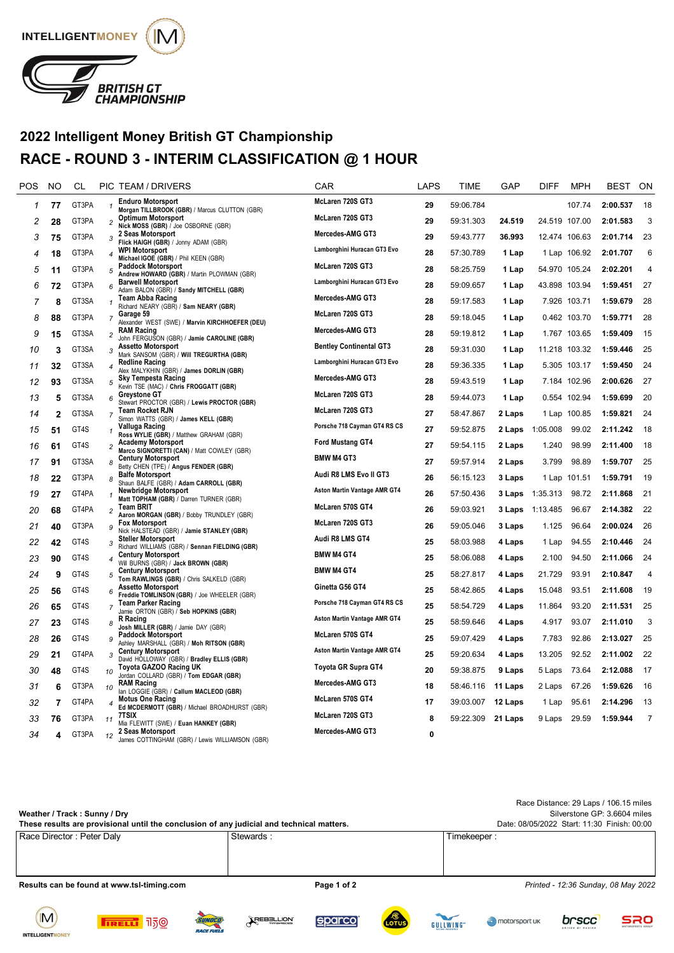

## **2022 Intelligent Money British GT Championship RACE - ROUND 3 - INTERIM CLASSIFICATION @ 1 HOUR**

| POS | <b>NO</b>    | СL    |                          | PIC TEAM / DRIVERS                                                          | <b>CAR</b>                     | LAPS | TIME      | GAP     | <b>DIFF</b>   | <b>MPH</b>    | <b>BEST</b> | ON             |
|-----|--------------|-------|--------------------------|-----------------------------------------------------------------------------|--------------------------------|------|-----------|---------|---------------|---------------|-------------|----------------|
| 1   | 77           | GT3PA | $\mathbf{1}$             | <b>Enduro Motorsport</b><br>Morgan TILLBROOK (GBR) / Marcus CLUTTON (GBR)   | McLaren 720S GT3               | 29   | 59:06.784 |         |               | 107.74        | 2:00.537    | 18             |
| 2   | 28           | GT3PA | $\overline{c}$           | <b>Optimum Motorsport</b><br>Nick MOSS (GBR) / Joe OSBORNE (GBR)            | McLaren 720S GT3               | 29   | 59:31.303 | 24.519  |               | 24.519 107.00 | 2:01.583    | 3              |
| 3   | 75           | GT3PA | 3                        | 2 Seas Motorsport<br>Flick HAIGH (GBR) / Jonny ADAM (GBR)                   | Mercedes-AMG GT3               | 29   | 59:43.777 | 36.993  |               | 12.474 106.63 | 2:01.714    | 23             |
| 4   | 18           | GT3PA | $\boldsymbol{4}$         | <b>WPI Motorsport</b><br>Michael IGOE (GBR) / Phil KEEN (GBR)               | Lamborghini Huracan GT3 Evo    | 28   | 57:30.789 | 1 Lap   |               | 1 Lap 106.92  | 2:01.707    | 6              |
| 5   | 11           | GT3PA | 5                        | <b>Paddock Motorsport</b><br>Andrew HOWARD (GBR) / Martin PLOWMAN (GBR)     | McLaren 720S GT3               | 28   | 58:25.759 | 1 Lap   |               | 54.970 105.24 | 2:02.201    | $\overline{4}$ |
| 6   | 72           | GT3PA | 6                        | <b>Barwell Motorsport</b><br>Adam BALON (GBR) / Sandy MITCHELL (GBR)        | Lamborghini Huracan GT3 Evo    | 28   | 59:09.657 | 1 Lap   | 43.898 103.94 |               | 1:59.451    | 27             |
| 7   | 8            | GT3SA | $\mathbf{1}$             | <b>Team Abba Racing</b><br>Richard NEARY (GBR) / Sam NEARY (GBR)            | Mercedes-AMG GT3               | 28   | 59:17.583 | 1 Lap   |               | 7.926 103.71  | 1:59.679    | 28             |
| 8   | 88           | GT3PA | $\overline{7}$           | Garage 59<br>Alexander WEST (SWE) / Marvin KIRCHHOEFER (DEU)                | McLaren 720S GT3               | 28   | 59:18.045 | 1 Lap   |               | 0.462 103.70  | 1:59.771    | 28             |
| 9   | 15           | GT3SA | $\overline{c}$           | <b>RAM Racing</b><br>John FERGUSON (GBR) / Jamie CAROLINE (GBR)             | Mercedes-AMG GT3               | 28   | 59:19.812 | 1 Lap   |               | 1.767 103.65  | 1:59.409    | 15             |
| 10  | 3            | GT3SA | 3                        | <b>Assetto Motorsport</b><br>Mark SANSOM (GBR) / Will TREGURTHA (GBR)       | <b>Bentley Continental GT3</b> | 28   | 59:31.030 | 1 Lap   | 11.218 103.32 |               | 1:59.446    | 25             |
| 11  | 32           | GT3SA | $\overline{4}$           | <b>Redline Racing</b><br>Alex MALYKHIN (GBR) / James DORLIN (GBR)           | Lamborghini Huracan GT3 Evo    | 28   | 59:36.335 | 1 Lap   |               | 5.305 103.17  | 1:59.450    | 24             |
| 12  | 93           | GT3SA | 5                        | <b>Sky Tempesta Racing</b><br>Kevin TSE (MAC) / Chris FROGGATT (GBR)        | Mercedes-AMG GT3               | 28   | 59:43.519 | 1 Lap   |               | 7.184 102.96  | 2:00.626    | 27             |
| 13  | 5            | GT3SA | 6                        | <b>Greystone GT</b><br>Stewart PROCTOR (GBR) / Lewis PROCTOR (GBR)          | McLaren 720S GT3               | 28   | 59:44.073 | 1 Lap   |               | 0.554 102.94  | 1:59.699    | 20             |
| 14  | $\mathbf{2}$ | GT3SA | $\overline{7}$           | <b>Team Rocket RJN</b><br>Simon WATTS (GBR) / James KELL (GBR)              | McLaren 720S GT3               | 27   | 58:47.867 | 2 Laps  |               | 1 Lap 100.85  | 1:59.821    | 24             |
| 15  | 51           | GT4S  | 1                        | Valluga Racing<br>Ross WYLIE (GBR) / Matthew GRAHAM (GBR)                   | Porsche 718 Cayman GT4 RS CS   | 27   | 59:52.875 | 2 Laps  | 1:05.008      | 99.02         | 2:11.242    | 18             |
| 16  | 61           | GT4S  | $\overline{c}$           | <b>Academy Motorsport</b><br>Marco SIGNORETTI (CAN) / Matt COWLEY (GBR)     | Ford Mustang GT4               | 27   | 59:54.115 | 2 Laps  | 1.240         | 98.99         | 2:11.400    | 18             |
| 17  | 91           | GT3SA | 8                        | <b>Century Motorsport</b><br>Betty CHEN (TPE) / Angus FENDER (GBR)          | <b>BMW M4 GT3</b>              | 27   | 59:57.914 | 2 Laps  | 3.799         | 98.89         | 1:59.707    | 25             |
| 18  | 22           | GT3PA | 8                        | <b>Balfe Motorsport</b><br>Shaun BALFE (GBR) / Adam CARROLL (GBR)           | Audi R8 LMS Evo II GT3         | 26   | 56:15.123 | 3 Laps  |               | 1 Lap 101.51  | 1:59.791    | 19             |
| 19  | 27           | GT4PA | $\mathbf{1}$             | <b>Newbridge Motorsport</b><br>Matt TOPHAM (GBR) / Darren TURNER (GBR)      | Aston Martin Vantage AMR GT4   | 26   | 57:50.436 | 3 Laps  | 1:35.313      | 98.72         | 2:11.868    | 21             |
| 20  | 68           | GT4PA | $\overline{c}$           | <b>Team BRIT</b><br>Aaron MORGAN (GBR) / Bobby TRUNDLEY (GBR)               | McLaren 570S GT4               | 26   | 59:03.921 | 3 Laps  | 1:13.485      | 96.67         | 2:14.382    | 22             |
| 21  | 40           | GT3PA | 9                        | <b>Fox Motorsport</b><br>Nick HALSTEAD (GBR) / Jamie STANLEY (GBR)          | McLaren 720S GT3               | 26   | 59:05.046 | 3 Laps  | 1.125         | 96.64         | 2:00.024    | 26             |
| 22  | 42           | GT4S  | 3                        | <b>Steller Motorsport</b><br>Richard WILLIAMS (GBR) / Sennan FIELDING (GBR) | Audi R8 LMS GT4                | 25   | 58:03.988 | 4 Laps  | 1 Lap         | 94.55         | 2:10.446    | 24             |
| 23  | 90           | GT4S  | $\overline{4}$           | <b>Century Motorsport</b><br>Will BURNS (GBR) / Jack BROWN (GBR)            | <b>BMW M4 GT4</b>              | 25   | 58:06.088 | 4 Laps  | 2.100         | 94.50         | 2:11.066    | 24             |
| 24  | 9            | GT4S  | 5                        | <b>Century Motorsport</b><br>Tom RAWLINGS (GBR) / Chris SALKELD (GBR)       | <b>BMW M4 GT4</b>              | 25   | 58:27.817 | 4 Laps  | 21.729        | 93.91         | 2:10.847    | $\overline{4}$ |
| 25  | 56           | GT4S  | 6                        | <b>Assetto Motorsport</b><br>Freddie TOMLINSON (GBR) / Joe WHEELER (GBR)    | Ginetta G56 GT4                | 25   | 58:42.865 | 4 Laps  | 15.048        | 93.51         | 2:11.608    | 19             |
| 26  | 65           | GT4S  | $\overline{7}$           | <b>Team Parker Racing</b><br>Jamie ORTON (GBR) / Seb HOPKINS (GBR)          | Porsche 718 Cayman GT4 RS CS   | 25   | 58:54.729 | 4 Laps  | 11.864        | 93.20         | 2:11.531    | 25             |
| 27  | 23           | GT4S  | 8                        | R Racing<br>Josh MILLER (GBR) / Jamie DAY (GBR)                             | Aston Martin Vantage AMR GT4   | 25   | 58:59.646 | 4 Laps  | 4.917         | 93.07         | 2:11.010    | 3              |
| 28  | 26           | GT4S  | 9                        | <b>Paddock Motorsport</b><br>Ashley MARSHALL (GBR) / Moh RITSON (GBR)       | McLaren 570S GT4               | 25   | 59:07.429 | 4 Laps  | 7.783         | 92.86         | 2:13.027    | 25             |
| 29  | 21           | GT4PA | 3                        | <b>Century Motorsport</b><br>David HOLLOWAY (GBR) / Bradley ELLIS (GBR)     | Aston Martin Vantage AMR GT4   | 25   | 59:20.634 | 4 Laps  | 13.205        | 92.52         | 2:11.002    | 22             |
| 30  | 48           | GT4S  | 10                       | Toyota GAZOO Racing UK<br>Jordan COLLARD (GBR) / Tom EDGAR (GBR)            | Toyota GR Supra GT4            | 20   | 59:38.875 | 9 Laps  | 5 Laps        | 73.64         | 2:12.088    | 17             |
| 31  | 6            | GT3PA | 10                       | <b>RAM Racing</b><br>lan LOGGIE (GBR) / Callum MACLEOD (GBR)                | Mercedes-AMG GT3               | 18   | 58:46.116 | 11 Laps | 2 Laps        | 67.26         | 1:59.626    | 16             |
| 32  | 7            | GT4PA | $\overline{\mathcal{L}}$ | <b>Motus One Racing</b><br>Ed MCDERMOTT (GBR) / Michael BROADHURST (GBR)    | McLaren 570S GT4               | 17   | 39:03.007 | 12 Laps | 1 Lap         | 95.61         | 2:14.296    | 13             |
| 33  | 76           | GT3PA | 11                       | 7TSIX<br>Mia FLEWITT (SWE) / Euan HANKEY (GBR)                              | McLaren 720S GT3               | 8    | 59:22.309 | 21 Laps | 9 Laps        | 29.59         | 1:59.944    | $\overline{7}$ |
| 34  | 4            | GT3PA | 12                       | 2 Seas Motorsport<br>James COTTINGHAM (GBR) / Lewis WILLIAMSON (GBR)        | Mercedes-AMG GT3               | 0    |           |         |               |               |             |                |
|     |              |       |                          |                                                                             |                                |      |           |         |               |               |             |                |

| Weather / Track: Sunny / Dry<br>These results are provisional until the conclusion of any judicial and technical matters. |             | Race Distance: 29 Laps / 106.15 miles<br>Silverstone GP: 3.6604 miles<br>Date: 08/05/2022 Start: 11:30 Finish: 00:00 |  |  |  |
|---------------------------------------------------------------------------------------------------------------------------|-------------|----------------------------------------------------------------------------------------------------------------------|--|--|--|
| Race Director: Peter Daly                                                                                                 | Stewards:   | Timekeeper :                                                                                                         |  |  |  |
|                                                                                                                           |             |                                                                                                                      |  |  |  |
|                                                                                                                           |             |                                                                                                                      |  |  |  |
| Results can be found at www.tsl-timing.com                                                                                | Page 1 of 2 | Printed - 12:36 Sunday, 08 May 2022                                                                                  |  |  |  |







REBELLION







brscc